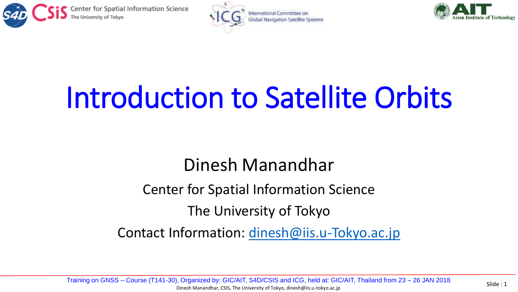





# Introduction to Satellite Orbits

#### Dinesh Manandhar

Center for Spatial Information Science

The University of Tokyo

Contact Information: [dinesh@iis.u-Tokyo.ac.jp](mailto:dinesh@iis.u-Tokyo.ac.jp)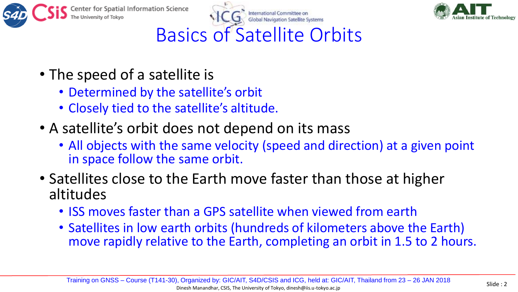





### Basics of Satellite Orbits

- The speed of a satellite is
	- Determined by the satellite's orbit
	- Closely tied to the satellite's altitude.
- A satellite's orbit does not depend on its mass
	- All objects with the same velocity (speed and direction) at a given point in space follow the same orbit.
- Satellites close to the Earth move faster than those at higher altitudes
	- ISS moves faster than a GPS satellite when viewed from earth
	- Satellites in low earth orbits (hundreds of kilometers above the Earth) move rapidly relative to the Earth, completing an orbit in 1.5 to 2 hours.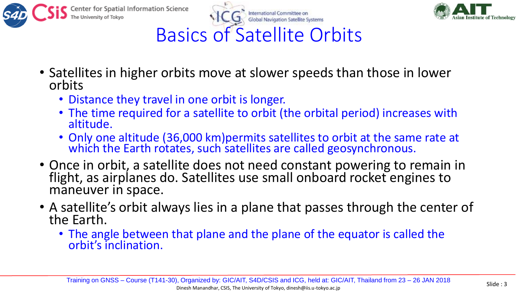





### Basics of Satellite Orbits

- Satellites in higher orbits move at slower speeds than those in lower orbits
	- Distance they travel in one orbit is longer.
	- The time required for a satellite to orbit (the orbital period) increases with altitude.
	- Only one altitude (36,000 km)permits satellites to orbit at the same rate at which the Earth rotates, such satellites are called geosynchronous.
- Once in orbit, a satellite does not need constant powering to remain in flight, as airplanes do. Satellites use small onboard rocket engines to maneuver in space.
- A satellite's orbit always lies in a plane that passes through the center of the Earth.
	- The angle between that plane and the plane of the equator is called the orbit's inclination.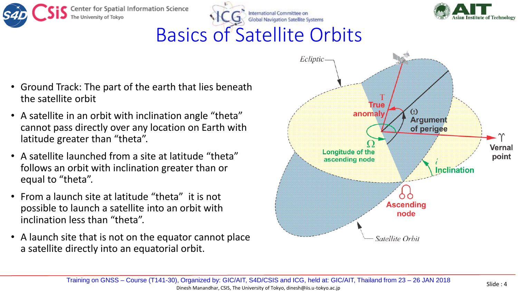



## Basics of Satellite Orbits

- Ground Track: The part of the earth that lies beneath the satellite orbit
- A satellite in an orbit with inclination angle "theta" cannot pass directly over any location on Earth with latitude greater than "theta".
- A satellite launched from a site at latitude "theta" follows an orbit with inclination greater than or equal to "theta".
- From a launch site at latitude "theta" it is not possible to launch a satellite into an orbit with inclination less than "theta".
- A launch site that is not on the equator cannot place a satellite directly into an equatorial orbit.

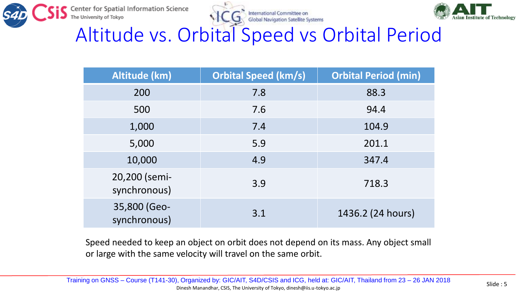





Altitude vs. Orbital Speed vs Orbital Period

| Altitude (km)                 | <b>Orbital Speed (km/s)</b> | <b>Orbital Period (min)</b> |
|-------------------------------|-----------------------------|-----------------------------|
| 200                           | 7.8                         | 88.3                        |
| 500                           | 7.6                         | 94.4                        |
| 1,000                         | 7.4                         | 104.9                       |
| 5,000                         | 5.9                         | 201.1                       |
| 10,000                        | 4.9                         | 347.4                       |
| 20,200 (semi-<br>synchronous) | 3.9                         | 718.3                       |
| 35,800 (Geo-<br>synchronous)  | 3.1                         | 1436.2 (24 hours)           |

Speed needed to keep an object on orbit does not depend on its mass. Any object small or large with the same velocity will travel on the same orbit.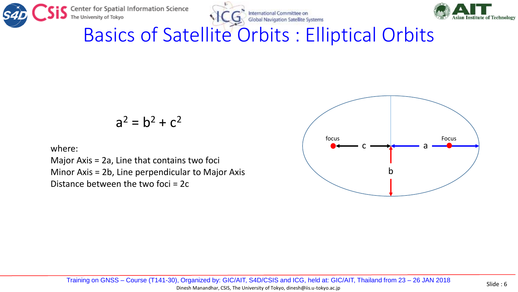

International Committee on **Global Navigation Satellite Systems** 



Basics of Satellite Orbits : Elliptical Orbits

$$
a^2 = b^2 + c^2
$$

where:

Major Axis = 2a, Line that contains two foci Minor Axis = 2b, Line perpendicular to Major Axis Distance between the two foci = 2c